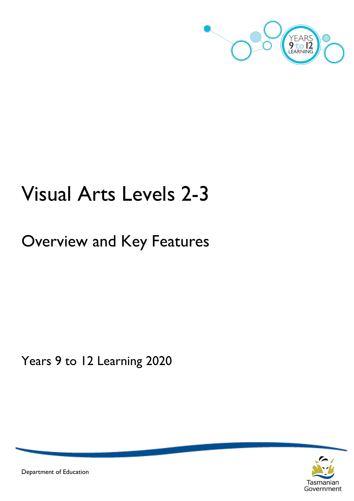

# Visual Arts Levels 2-3

## Overview and Key Features

Years 9 to 12 Learning 2020



Department of Education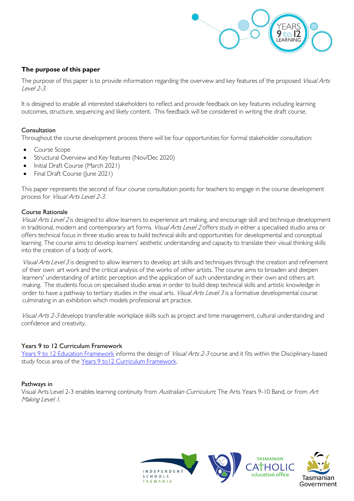

#### **The purpose of this paper**

The purpose of this paper is to provide information regarding the overview and key features of the proposed Visual Arts Level 2-3.

It is designed to enable all interested stakeholders to reflect and provide feedback on key features including learning outcomes, structure, sequencing and likely content. This feedback will be considered in writing the draft course.

#### Consultation

Throughout the course development process there will be four opportunities for formal stakeholder consultation:

- Course Scope
- Structural Overview and Key features (Nov/Dec 2020)
- Initial Draft Course (March 2021)
- Final Draft Course (June 2021)

This paper represents the second of four course consultation points for teachers to engage in the course development process for Visual Arts Level 2-3.

#### Course Rationale

Visual Arts Level 2 is designed to allow learners to experience art making, and encourage skill and technique development in traditional, modern and contemporary art forms. Visual Arts Level 2 offers study in either a specialised studio area or offers technical focus in three studio areas to build technical skills and opportunities for developmental and conceptual learning. The course aims to develop learners' aesthetic understanding and capacity to translate their visual thinking skills into the creation of a body of work.

Visual Arts Level 3 is designed to allow learners to develop art skills and techniques through the creation and refinement of their own art work and the critical analysis of the works of other artists. The course aims to broaden and deepen learners' understanding of artistic perception and the application of such understanding in their own and others art making. The students focus on specialised studio areas in order to build deep technical skills and artistic knowledge in order to have a pathway to tertiary studies in the visual arts. Visual Arts Level 3 is a formative developmental course culminating in an exhibition which models professional art practice.

Visual Arts 2-3 develops transferable workplace skills such as project and time management, cultural understanding and confidence and creativity.

#### Years 9 to 12 Curriculum Framework

[Years 9 to 12 Education Framework](https://publicdocumentcentre.education.tas.gov.au/library/Shared%20Documents/Years-9-to-12-Education-Framework.pdf) informs the design of Visual Arts 2-3 course and it fits within the Disciplinary-based study focus area of th[e Years 9 to12 Curriculum Framework.](https://publicdocumentcentre.education.tas.gov.au/library/Shared%20Documents/Education%209-12%20Frameworks%20A3%20WEB%20POSTER.pdf) 

#### Pathways in

Visual Arts Level 2-3 enables learning continuity from Australian Curriculum; The Arts Years 9-10 Band, or from Art Making Level 1.

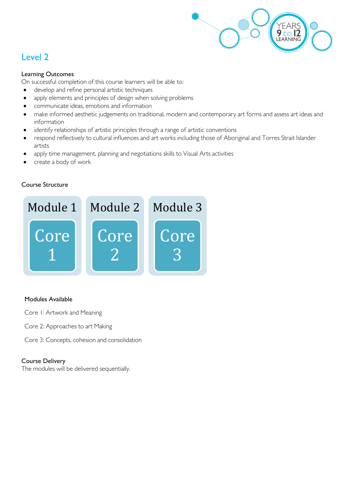

## Level 2

#### Learning Outcomes

On successful completion of this course learners will be able to:

- develop and refine personal artistic techniques
- apply elements and principles of design when solving problems
- communicate ideas, emotions and information
- make informed aesthetic judgements on traditional, modern and contemporary art forms and assess art ideas and information
- identify relationships of artistic principles through a range of artistic conventions
- respond reflectively to cultural influences and art works including those of Aboriginal and Torres Strait Islander artists
- apply time management, planning and negotiations skills to Visual Arts activities
- create a body of work

#### Course Structure



#### Modules Available

- Core 1: Artwork and Meaning
- Core 2: Approaches to art Making
- Core 3: Concepts, cohesion and consolidation

#### Course Delivery

The modules will be delivered sequentially.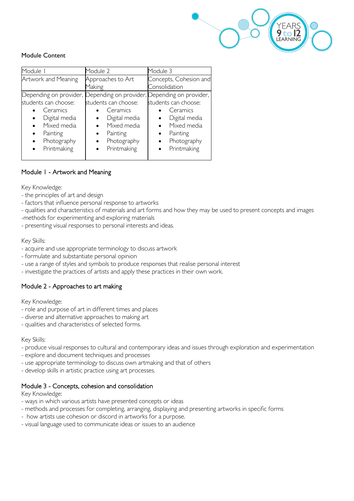

#### Module Content

| Module I                                                                                                                         | Module 2                                                                                                                      | Module 3                                                                                                            |  |  |
|----------------------------------------------------------------------------------------------------------------------------------|-------------------------------------------------------------------------------------------------------------------------------|---------------------------------------------------------------------------------------------------------------------|--|--|
| Artwork and Meaning                                                                                                              | Approaches to Art<br>Making                                                                                                   | Concepts, Cohesion and<br>Consolidation                                                                             |  |  |
| Depending on provider,<br>students can choose:<br>Ceramics<br>Digital media<br>Mixed media<br>$\bullet$<br>Painting<br>$\bullet$ | Depending on provider, Depending on provider,<br>students can choose:<br>Ceramics<br>Digital media<br>Mixed media<br>Painting | students can choose:<br>Ceramics<br>Digital media<br>$\bullet$<br>Mixed media<br>$\bullet$<br>Painting<br>$\bullet$ |  |  |
| Photography<br>Printmaking                                                                                                       | Photography<br>Printmaking                                                                                                    | Photography<br>Printmaking                                                                                          |  |  |

#### Module 1 - Artwork and Meaning

Key Knowledge:

- the principles of art and design
- factors that influence personal response to artworks
- qualities and characteristics of materials and art forms and how they may be used to present concepts and images
- -methods for experimenting and exploring materials
- presenting visual responses to personal interests and ideas.

Key Skills:

- acquire and use appropriate terminology to discuss artwork
- formulate and substantiate personal opinion
- use a range of styles and symbols to produce responses that realise personal interest
- investigate the practices of artists and apply these practices in their own work.

#### Module 2 - Approaches to art making

Key Knowledge:

- role and purpose of art in different times and places
- diverse and alternative approaches to making art
- qualities and characteristics of selected forms.

#### Key Skills:

- produce visual responses to cultural and contemporary ideas and issues through exploration and experimentation
- explore and document techniques and processes
- use appropriate terminology to discuss own artmaking and that of others
- develop skills in artistic practice using art processes.

#### Module 3 - Concepts, cohesion and consolidation

Key Knowledge:

- ways in which various artists have presented concepts or ideas
- methods and processes for completing, arranging, displaying and presenting artworks in specific forms
- how artists use cohesion or discord in artworks for a purpose.
- visual language used to communicate ideas or issues to an audience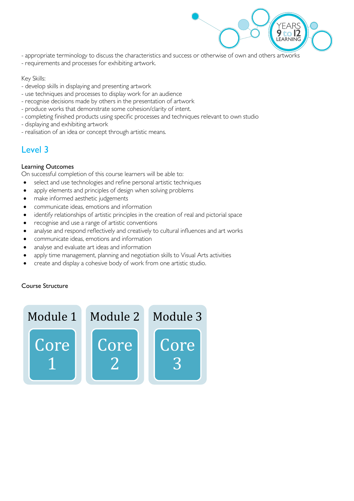

- appropriate terminology to discuss the characteristics and success or otherwise of own and others artworks
- requirements and processes for exhibiting artwork.

#### Key Skills:

- develop skills in displaying and presenting artwork
- use techniques and processes to display work for an audience
- recognise decisions made by others in the presentation of artwork
- produce works that demonstrate some cohesion/clarity of intent.
- completing finished products using specific processes and techniques relevant to own studio
- displaying and exhibiting artwork
- realisation of an idea or concept through artistic means.

### Level 3

#### Learning Outcomes

On successful completion of this course learners will be able to:

- select and use technologies and refine personal artistic techniques
- apply elements and principles of design when solving problems
- make informed aesthetic judgements
- communicate ideas, emotions and information
- identify relationships of artistic principles in the creation of real and pictorial space
- recognise and use a range of artistic conventions
- analyse and respond reflectively and creatively to cultural influences and art works
- communicate ideas, emotions and information
- analyse and evaluate art ideas and information
- apply time management, planning and negotiation skills to Visual Arts activities
- create and display a cohesive body of work from one artistic studio.

#### Course Structure

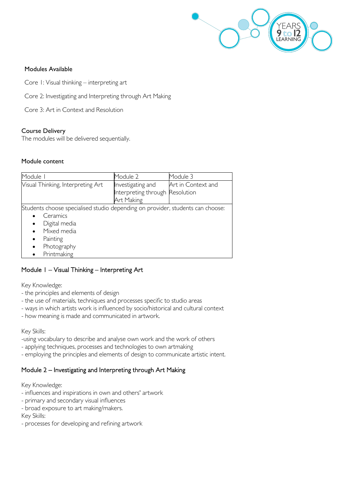

#### Modules Available

- Core 1: Visual thinking interpreting art
- Core 2: Investigating and Interpreting through Art Making
- Core 3: Art in Context and Resolution

#### Course Delivery

The modules will be delivered sequentially.

#### Module content

| Module I                                                                                                                                                                                                    | Module 2                                                           | Module 3           |
|-------------------------------------------------------------------------------------------------------------------------------------------------------------------------------------------------------------|--------------------------------------------------------------------|--------------------|
| Visual Thinking, Interpreting Art                                                                                                                                                                           | Investigating and<br>Interpreting through Resolution<br>Art Making | Art in Context and |
| Students choose specialised studio depending on provider, students can choose:<br>Ceramics<br>Digital media<br>$\bullet$<br>Mixed media<br>Painting<br>$\bullet$<br>Photography<br>$\bullet$<br>Printmaking |                                                                    |                    |

#### Module 1 – Visual Thinking – Interpreting Art

Key Knowledge:

- the principles and elements of design
- the use of materials, techniques and processes specific to studio areas
- ways in which artists work is influenced by socio/historical and cultural context
- how meaning is made and communicated in artwork.

#### Key Skills:

- -using vocabulary to describe and analyse own work and the work of others
- applying techniques, processes and technologies to own artmaking
- employing the principles and elements of design to communicate artistic intent.

#### Module 2 – Investigating and Interpreting through Art Making

Key Knowledge:

- influences and inspirations in own and others' artwork
- primary and secondary visual influences
- broad exposure to art making/makers.

Key Skills:

- processes for developing and refining artwork